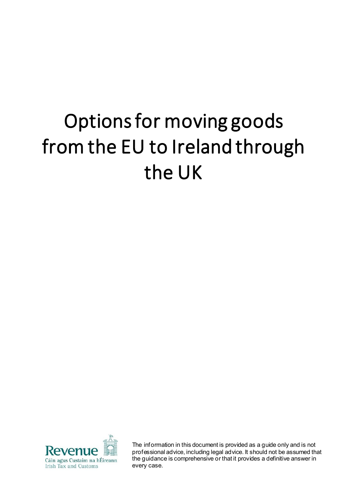# Options for moving goods from the EU to Ireland through the UK



The information in this document is provided as a guide only and is not professional advice, including legal advice. It should not be assumed that the guidance is comprehensive or that it provides a definitive answer in every case.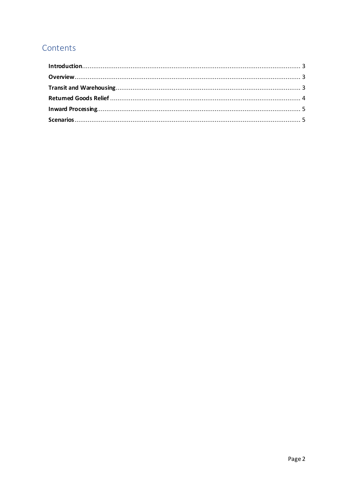# Contents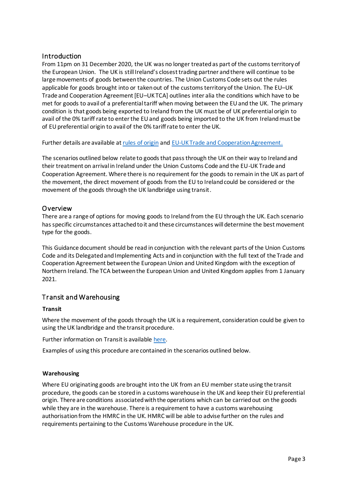# <span id="page-2-0"></span>Introduction

From 11pm on 31 December 2020, the UK was no longer treated as part of the customs territory of the European Union. The UK is still Ireland's closest trading partner and there will continue to be large movements of goods between the countries. The Union Customs Code sets out the rules applicable for goods brought into or taken out of the customs territory of the Union. The EU–UK Trade and Cooperation Agreement [EU–UK TCA] outlines inter alia the conditions which have to be met for goods to avail of a preferential tariff when moving between the EU and the UK. The primary condition is that goods being exported to Ireland from the UK must be of UK preferential origin to avail of the 0% tariff rate to enter the EU and goods being imported to the UK from Ireland must be of EU preferential origin to avail of the 0% tariff rate to enter the UK.

Further details are available a[t rules of origin](https://www.revenue.ie/en/customs-traders-and-agents/importing-and-exporting/origin/preferential-and-nonpreferential-origin/index.aspx) and [EU-UK Trade and Cooperation Agreement.](https://www.revenue.ie/en/customs-traders-and-agents/importing-and-exporting/origin/eu-uk-trade-and-cooperation-agreement/index.aspx)

The scenarios outlined below relate to goods that pass through the UK on their way to Ireland and their treatment on arrival in Ireland under the Union Customs Code and the EU-UK Trade and Cooperation Agreement. Where there is no requirement for the goods to remain in the UK as part of the movement, the direct movement of goods from the EU to Ireland could be considered or the movement of the goods through the UK landbridge using transit.

# <span id="page-2-1"></span>Overview

There are a range of options for moving goods to Ireland from the EU through the UK. Each scenario has specific circumstances attached to it and these circumstances will determine the best movement type for the goods.

This Guidance document should be read in conjunction with the relevant parts of the Union Customs Code and its Delegated and Implementing Acts and in conjunction with the full text of the Trade and Cooperation Agreement between the European Union and United Kingdom with the exception of Northern Ireland. The TCA between the European Union and United Kingdom applies from 1 January 2021.

# <span id="page-2-2"></span>Transit and Warehousing

#### **Transit**

Where the movement of the goods through the UK is a requirement, consideration could be given to using the UK landbridge and the transit procedure.

Further information on Transit is available [here.](https://www.revenue.ie/en/customs-traders-and-agents/transit/index.aspx)

Examples of using this procedure are contained in the scenarios outlined below.

#### **Warehousing**

Where EU originating goods are brought into the UK from an EU member state using the transit procedure, the goods can be stored in a customs warehouse in the UK and keep their EU preferential origin. There are conditions associated with the operations which can be carried out on the goods while they are in the warehouse. There is a requirement to have a customs warehousing authorisation from the HMRC in the UK. HMRC will be able to advise further on the rules and requirements pertaining to the Customs Warehouse procedure in the UK.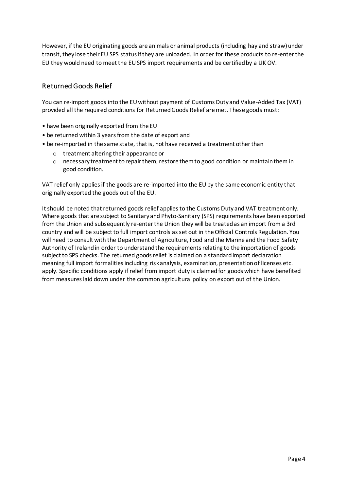However, if the EU originating goods are animals or animal products (including hay and straw) under transit, they lose their EU SPS status if they are unloaded. In order for these products to re-enter the EU they would need to meet the EU SPS import requirements and be certified by a UK OV.

# <span id="page-3-0"></span>Returned Goods Relief

You can re-import goods into the EU without payment of Customs Duty and Value-Added Tax (VAT) provided all the required conditions for Returned Goods Relief are met. These goods must:

- have been originally exported from the EU
- be returned within 3 years from the date of export and
- be re-imported in the same state, that is, not have received a treatment other than
	- o treatment altering their appearance or
	- o necessary treatment to repair them, restore them to good condition or maintain them in good condition.

VAT relief only applies if the goods are re-imported into the EU by the same economic entity that originally exported the goods out of the EU.

It should be noted that returned goods relief applies to the Customs Duty and VAT treatment only. Where goods that are subject to Sanitary and Phyto-Sanitary (SPS) requirements have been exported from the Union and subsequently re-enter the Union they will be treated as an import from a 3rd country and will be subject to full import controls as set out in the Official Controls Regulation. You will need to consult with the Department of Agriculture, Food and the Marine and the Food Safety Authority of Ireland in order to understand the requirements relating to the importation of goods subject to SPS checks. The returned goods relief is claimed on a standard import declaration meaning full import formalities including risk analysis, examination, presentation of licenses etc. apply. Specific conditions apply if relief from import duty is claimed for goods which have benefited from measures laid down under the common agricultural policy on export out of the Union.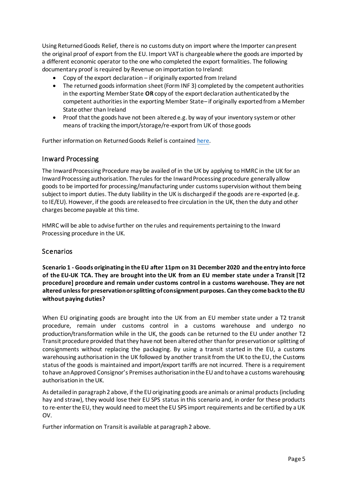Using Returned Goods Relief, there is no customs duty on import where the Importer can present the original proof of export from the EU. Import VAT is chargeable where the goods are imported by a different economic operator to the one who completed the export formalities. The following documentary proof is required by Revenue on importation to Ireland:

- Copy of the export declaration  $-$  if originally exported from Ireland
- The returned goods information sheet (Form INF 3) completed by the competent authorities in the exporting Member State **OR** copy of the export declaration authenticated by the competent authorities in the exporting Member State– if originally exported from a Member State other than Ireland
- Proof that the goods have not been altered e.g. by way of your inventory system or other means of tracking the import/storage/re-export from UK of those goods

Further information on Returned Goods Relief is containe[d here.](https://www.revenue.ie/en/customs-traders-and-agents/relief-from-customs-duty-and-vat/goods-reimported-into-the-european-union/index.aspx)

# <span id="page-4-0"></span>Inward Processing

The Inward Processing Procedure may be availed of in the UK by applying to HMRC in the UK for an Inward Processing authorisation. The rules for the Inward Processing procedure generally allow goods to be imported for processing/manufacturing under customs supervision without them being subject to import duties. The duty liability in the UK is discharged if the goods are re-exported (e.g. to IE/EU). However, if the goods are released to free circulation in the UK, then the duty and other charges become payable at this time.

HMRC will be able to advise further on the rules and requirements pertaining to the Inward Processing procedure in the UK.

# <span id="page-4-1"></span>Scenarios

**Scenario 1 - Goods originating in the EU after 11pm on 31 December 2020 and the entry into force of the EU-UK TCA. They are brought into the UK from an EU member state under a Transit [T2 procedure] procedure and remain under customs control in a customs warehouse. They are not altered unless for preservation or splitting of consignment purposes. Can they come back to the EU without paying duties?**

When EU originating goods are brought into the UK from an EU member state under a T2 transit procedure, remain under customs control in a customs warehouse and undergo no production/transformation while in the UK, the goods can be returned to the EU under another T2 Transit procedure provided that they have not been altered other than for preservation or splitting of consignments without replacing the packaging. By using a transit started in the EU, a customs warehousing authorisation in the UK followed by another transit from the UK to the EU, the Customs status of the goods is maintained and import/export tariffs are not incurred. There is a requirement to have an Approved Consignor's Premises authorisation in the EU and to have a customs warehousing authorisation in the UK.

As detailed in paragraph 2 above, if the EU originating goods are animals or animal products (including hay and straw), they would lose their EU SPS status in this scenario and, in order for these products to re-enter the EU, they would need to meet the EU SPS import requirements and be certified by a UK OV.

Further information on Transit is available at paragraph 2 above.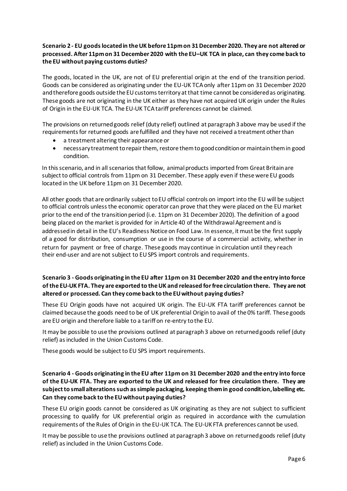#### **Scenario 2 - EU goodslocated in the UK before 11pm on 31 December 2020. They are not altered or processed. After 11pm on 31 December 2020 with the EU–UK TCA in place, can they come back to the EU without paying customs duties?**

The goods, located in the UK, are not of EU preferential origin at the end of the transition period. Goods can be considered as originating under the EU-UK TCA only after 11pm on 31 December 2020 and therefore goods outside the EU customs territory at that time cannot be considered as originating. These goods are not originating in the UK either as they have not acquired UK origin under the Rules of Origin in the EU-UK TCA. The EU-UK TCA tariff preferences cannot be claimed.

The provisions on returned goods relief (duty relief) outlined at paragraph 3 above may be used if the requirements for returned goods are fulfilled and they have not received a treatment other than

- a treatment altering their appearance or
- necessary treatment to repair them, restore them to good condition or maintain them in good condition.

In this scenario, and in all scenarios that follow, animal products imported from Great Britain are subject to official controls from 11pm on 31 December. These apply even if these were EU goods located in the UK before 11pm on 31 December 2020.

All other goods that are ordinarily subject to EU official controls on import into the EU will be subject to official controls unless the economic operator can prove that they were placed on the EU market prior to the end of the transition period (i.e. 11pm on 31 December 2020). The definition of a good being placed on the market is provided for in Article 40 of the Withdrawal Agreement and is addressed in detail in the EU's Readiness Notice on Food Law. In essence, it must be the first supply of a good for distribution, consumption or use in the course of a commercial activity, whether in return for payment or free of charge. These goods may continue in circulation until they reach their end-user and are not subject to EU SPS import controls and requirements.

# **Scenario 3 - Goods originating in the EU after 11pm on 31 December 2020 and the entry into force of the EU-UK FTA. They are exported to the UK and released for free circulation there. They are not altered or processed. Can they come back to the EU without paying duties?**

These EU Origin goods have not acquired UK origin. The EU-UK FTA tariff preferences cannot be claimed because the goods need to be of UK preferential Origin to avail of the 0% tariff. These goods are EU origin and therefore liable to a tariff on re-entry to the EU.

It may be possible to use the provisions outlined at paragraph 3 above on returned goods relief (duty relief) as included in the Union Customs Code.

These goods would be subject to EU SPS import requirements.

# **Scenario 4 - Goods originating in the EU after 11pm on 31 December 2020 and the entry into force of the EU-UK FTA. They are exported to the UK and released for free circulation there. They are subject to small alterationssuch as simple packaging, keeping them in good condition, labelling etc. Can they come back to the EU without paying duties?**

These EU origin goods cannot be considered as UK originating as they are not subject to sufficient processing to qualify for UK preferential origin as required in accordance with the cumulation requirements of the Rules of Origin in the EU-UK TCA. The EU-UK FTA preferences cannot be used.

It may be possible to use the provisions outlined at paragraph 3 above on returned goods relief (duty relief) as included in the Union Customs Code.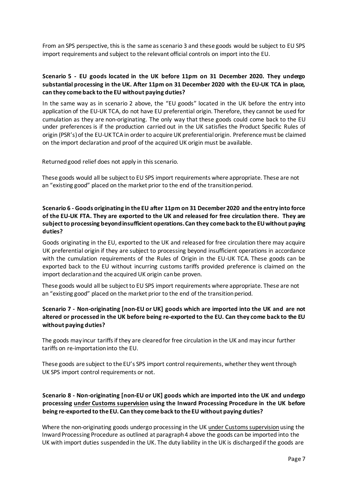From an SPS perspective, this is the same as scenario 3 and these goods would be subject to EU SPS import requirements and subject to the relevant official controls on import into the EU.

#### **Scenario 5 - EU goods located in the UK before 11pm on 31 December 2020. They undergo substantial processing in the UK. After 11pm on 31 December 2020 with the EU-UK TCA in place, can they come back to the EU without paying duties?**

In the same way as in scenario 2 above, the "EU goods" located in the UK before the entry into application of the EU-UK TCA, do not have EU preferential origin. Therefore, they cannot be used for cumulation as they are non-originating. The only way that these goods could come back to the EU under preferences is if the production carried out in the UK satisfies the Product Specific Rules of origin (PSR's) of the EU-UK TCAin order to acquire UK preferential origin. Preference must be claimed on the import declaration and proof of the acquired UK origin must be available.

Returned good relief does not apply in this scenario.

These goods would all be subject to EU SPS import requirements where appropriate. These are not an "existing good" placed on the market prior to the end of the transition period.

#### **Scenario 6 - Goods originating in the EU after 11pm on 31 December 2020 and the entry into force of the EU-UK FTA. They are exported to the UK and released for free circulation there. They are subject to processing beyond insufficient operations. Can they come back to the EU without paying duties?**

Goods originating in the EU, exported to the UK and released for free circulation there may acquire UK preferential origin if they are subject to processing beyond insufficient operations in accordance with the cumulation requirements of the Rules of Origin in the EU-UK TCA. These goods can be exported back to the EU without incurring customs tariffs provided preference is claimed on the import declaration and the acquired UK origin can be proven.

These goods would all be subject to EU SPS import requirements where appropriate. These are not an "existing good" placed on the market prior to the end of the transition period.

#### **Scenario 7 - Non-originating [non-EU or UK] goods which are imported into the UK and are not altered or processed in the UK before being re-exported to the EU. Can they come back to the EU without paying duties?**

The goods may incur tariffs if they are cleared for free circulation in the UK and may incur further tariffs on re-importation into the EU.

These goods are subject to the EU's SPS import control requirements, whether they went through UK SPS import control requirements or not.

# **Scenario 8 - Non-originating [non-EU or UK] goods which are imported into the UK and undergo processing under Customs supervision using the Inward Processing Procedure in the UK before being re-exported to the EU. Can they come back to the EU without paying duties?**

Where the non-originating goods undergo processing in the UK under Customs supervision using the Inward Processing Procedure as outlined at paragraph 4 above the goods can be imported into the UK with import duties suspended in the UK. The duty liability in the UK is discharged if the goods are